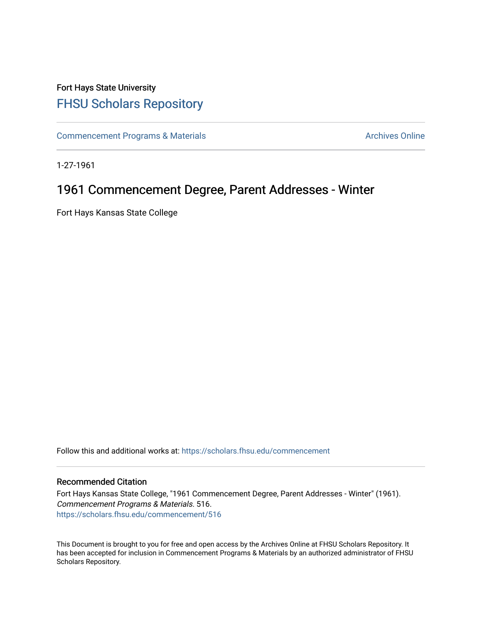## Fort Hays State University [FHSU Scholars Repository](https://scholars.fhsu.edu/)

[Commencement Programs & Materials](https://scholars.fhsu.edu/commencement) **Archives Online** Archives Online

1-27-1961

# 1961 Commencement Degree, Parent Addresses - Winter

Fort Hays Kansas State College

Follow this and additional works at: [https://scholars.fhsu.edu/commencement](https://scholars.fhsu.edu/commencement?utm_source=scholars.fhsu.edu%2Fcommencement%2F516&utm_medium=PDF&utm_campaign=PDFCoverPages)

### Recommended Citation

Fort Hays Kansas State College, "1961 Commencement Degree, Parent Addresses - Winter" (1961). Commencement Programs & Materials. 516. [https://scholars.fhsu.edu/commencement/516](https://scholars.fhsu.edu/commencement/516?utm_source=scholars.fhsu.edu%2Fcommencement%2F516&utm_medium=PDF&utm_campaign=PDFCoverPages)

This Document is brought to you for free and open access by the Archives Online at FHSU Scholars Repository. It has been accepted for inclusion in Commencement Programs & Materials by an authorized administrator of FHSU Scholars Repository.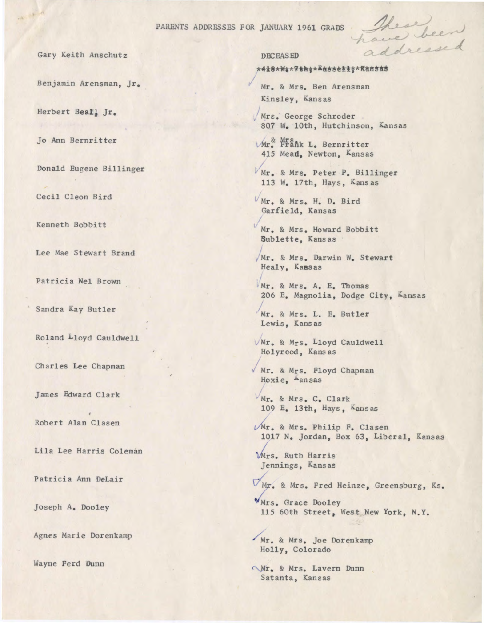PARENTS ADDRESSES FOR JANUARY 1961 GRADS

*I* 

Gary Keith Anschutz

Benjamin Arensman, Jr.

Herbert **Beatj** Jr.

Jo Ann Bernritter

Donald Eugene Billinger

Cecil Cleon Bird

Kenneth Bobbitt

Lee Mae Stewart Brand

Patricia Nel Brown

Sandra Kay Butler

Roland Lloyd Cauldwell '

Charles Lee Chapman

James Edward Clark

Robert Alan Clasen

Lila Lee Harris Coleman

Patricia Ann OeLair

Joseph A. Dooley

Agnes Marie Dorenkamp

Wayne Ferd Dunn

#### **DECEASED**

#### \*418\*\*\*\*\*\*\*\*\*\*\*\*\*\*\*\*\*\*\*\*\*\*

These been

Mr. & Mrs. Ben Arensman Kinsley, Kans as

, Mrs. George Schroder 807 W. 10th, Hutchinson, Kansas

**VAr.** Prank L. Bernritter 415 Mead, Newton, Kansas

Mr. & Mrs. Peter P. Billinger 113 w. 17th, Hays, Kansas

 $V$ Mr. & Mrs. H. D. Bird Garfield, Kansas

*I*  Mr. & Mrs. Howard Bobbitt **Sublette,** Kans as

/ Mr. & Mrs. Darwin W. Stewart Healy, **Kass** as

Mr. & Mrs. A. E. Thomas 206 E. Magnolia, Dodge City, Kansas

Mr. & Mrs. L. E. Butler Lewis, Kansas

Mr. & Mrs. Lloyd Cauldwell Holyrood, Kansas

/ Mr. & Mrs. Floyd Chapman Hoxie, Aansas

Mr. & Mrs. C. Clark 109 E. 13th, Hays , Kans as

Mr. & Mrs. Philip F. Clasen 1017 N. Jordan, Box 63, Liberal, Kansas

Mrs. Ruth Harris Jennings, Kansas

 $\nabla_{\text{MF}}$ , & Mrs. Fred Heinze, Greensburg, Ks.

VMrs. Grace Dooley 115 60th Street, West New York, N.Y.

Mr. & Mrs. Joe Dorenkamp Holly, Colorado

Mr. & Mrs. Lavern Dunn Satanta, Kansas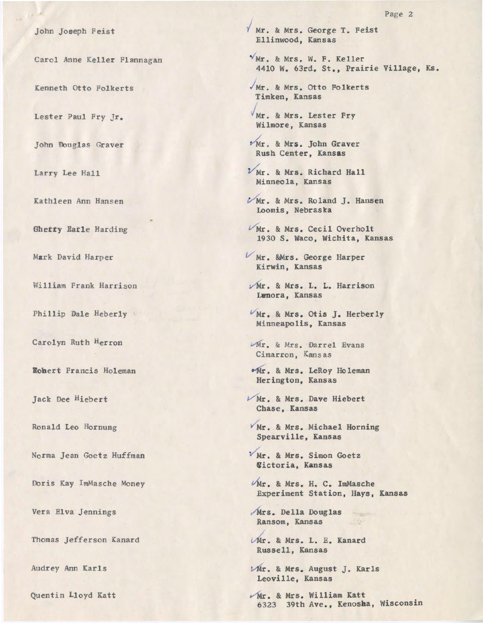John Joseph Feist

Carol Anne Keller Flannagan

Kenneth Otto Folkerts

Lester Paul Fry Jr.

John Douglas Graver

Larry Lee Hall

Kathleen Ann Hansen

**Bhetty** Eatle Harding

**Mark** David Harper

William Frank Harrison

Phillip Dale Heberly

Carolyn Ruth Herron

**Eobert** Francis Holeman

Jack Dee Hiebert

Ronald Leo Hornung

Norma Jean Goetz Huffman

Doris Kay lmMasche Money

Vera Elva Jennings

Thomas Jefferson Kanard

Audrey Ann Karls

Quentin Lloyd Katt

/ Mr. & Mrs. George T. Feist Ellinwood, Kansas

 $Y$ Mr. & Mrs. W. F. Keller 4410 w. 63rd. St., Prairie Village, Ks.

/ Mr. & Mrs. Otto Folkerts Timken, Kansas

Mr. & Mrs. Lester Pry Wilmore, Kansas

 $Mr.$  & Mrs. John Graver Rush Center, **Kansas** 

 $V$ Mr. & Mrs. Richard Hall Minneola, Kansas

*VMr.* & Mrs. Roland J. Hansen Loomis, Nebraska

Mr. & Mrs. Cecil Overholt 1930 S. Waco, Wichita, Kansas

V Mr. &Mrs. George Harper Kirwin, Kansas

Mr. & Mrs. L. L. Harrison Lenora, Kansas

VMr. & Mrs. Otis J. Herberly Minneapolis, Kansas

Mr. & Mrs. Darrel Evans Cimarron, Kans as

 $•$  Mr. & Mrs. LeRoy Holeman Herington, Kansas

*V Mr.* & Mrs. Dave Hiebert Chase, Kansas

Mr. & Mrs. Michael Horning Spearville, Kansas

 $V$ Mr. & Mrs. Simon Goetz Victoria, **Kansas** 

VMr. & Mrs. H. C. ImMasche Experiment Station, Hays, Kansas

Mrs. Della Douglas Ransom, Kansas

 $Mr.$  & Mrs. L. E. Kanard Russell, Kansas

 $V$ Mr. & Mrs. August J. Karls Leoville, Kansas

Mr. & Mrs. William Katt 6323 39th Ave., Kenosha, Wisconsin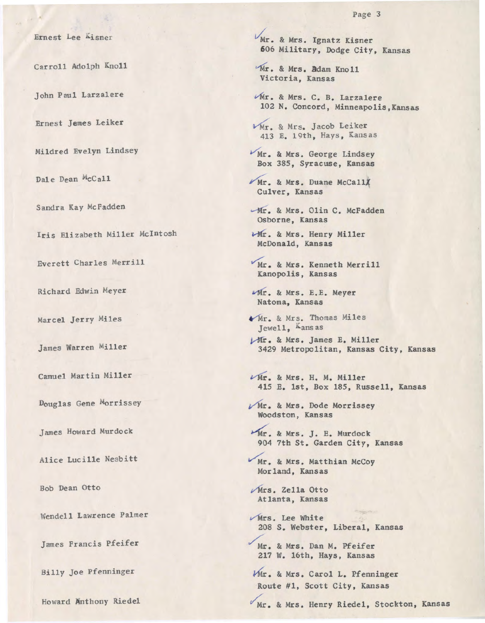Ernest Lee Kisner

Carroll Adolph Knoll

John Paul Larzalere

Ernest Jemes Leiker

Mildred Evelyn Lindsey

Dale Dean McCall

Sandra Kay McFadden

Iris Elizabeth Miller McIntosh

Everett Charles Merrill

Richard Edwin Meyer

Marcel Jerry Miles

James Warren Miller

Camuel Martin Miller

Douglas Gene Morrissey

James Howard Murdock

Alice Lucille Nesbitt

Bob Dean Otto

Wendell Lawrence Palmer

James Francis Pfeifer

Billy Joe Pfenninger

Howard Anthony Riedel

 $V_{\text{Mr.}}$  & Mrs. Ignatz Kisner 606 Military, Dodge City, Kansas

Mr. & Mrs. Adam Knoll Victoria, Kansas

vMr. & Mrs. C. B. Larzalere 102 N. Concord, Minneapolis,Kansas

 $V$ Mr. & Mrs. Jacob Leiker 413 E. 19th, Hays, Kans as

Mr. & Mrs. George Lindsey Box 385, Syracuse, Kansas

 $Mr.$  & Mrs. Duane McCall Culver, Kansas

Mr. & Mrs. Olin C. McFadden Osborne, Kansas

 $U$ Mr. & Mrs. Henry Miller McDonald, Kansas

 $Mr.$  & Mrs. Kenneth Merrill Kanopolis, Kansas

 $Mr.$  & Mrs. E.E. Meyer Natoma, Kansas

 $Mr.$  & Mrs. Thomas Miles Jewell, Kansas

 $ymr.$  & Mrs. James E. Miller 3429 Metropolitan, Kansas City, Kansas

 $\epsilon$ Mr. & Mrs. H. M. Miller 415 E. 1st, Box 185, Russell, Kansas

Mr. & Mrs. Dode Morrissey Woodston, Kansas

Mr. & Mrs. J. E. Murdock 904 7th St. Garden City, Kansas

Mr. & Mrs. Matthian McCoy Morland, Kansas

 $Mrs.$  Zella Otto Atlanta, Kansas

 $V$ Mrs. Lee White 208 s. Webster, Liberal, Kansas

Mr. & Mrs. Dan M. Pfeifer 217 W. 16th, Hays, Kansas

Mr. & Mrs. Carol L. Pfenninger Route #1, Scott City, Kansas

Mr. & Mrs. Henry Riedel, Stockton, Kansas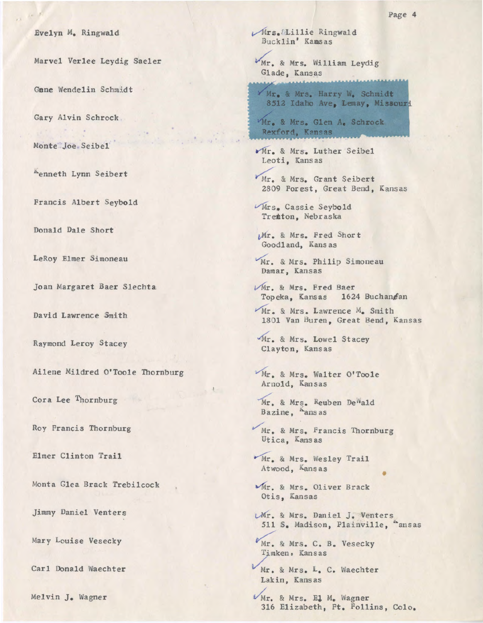Evelyn M. Ringwald

Marvel Verlee Leydig Saeler

Gane Wendelin Schmidt

Gary Alvin Schrock.

Monte Joe Seibel

Aenneth Lynn Seibert

Francis Albert Seybold

Donald Dale Short

LeRoy Elmer Simoneau

Joan Margaret Baer Slechta

David Lawrence Smith

Raymond Leroy Stacey

Ailene Mildred O'Toole Thornburg

Cora Lee Thornburg

Roy Francis Thornburg

Elmer Clinton Trail

Monta Glea Brack Trebilcock

Jimmy Daniel Venters

Mary Louise Vesecky

Carl Donald Waechter

Melvin J. Wagner

Mrs. Elillie Ringwald Bucklin' Kamsas

Mr. & Mrs. William Leydig Glade, Kansas

Mr. & Mrs. Harry W. Schmidt 8512 Idaho Ave, Lemay, Missouri

Mr. & Mrs. Glen A. Schrock Rexford, Kansas

Mr. & Mrs. Luther Seibel Leoti, Kansas

Mr. & Mrs. Grant Seibert 2809 Forest, Great Bend, Kansas

Mrs. Cassie Seybold Trenton, Nebraska

Mr. & Mrs. Fred Short Goodland, Kansas

Mr. & Mrs. Philip Simoneau Damar, Kansas

- Mr. & Mrs. Fred Baer Topeka, Kansas 1624 Buchangan
- Mr. & Mrs. Lawrence M. Smith 1801 Van Buren, Great Bend, Kansas

"Mr. & Mrs. Lowel Stacey Clayton, Kansas

Mr. & Mrs. Walter O'Toole Arnold, Kansas

Mr. & Mrs. Reuben De ald Bazine, ansas

Mr. & Mrs. Francis Thornburg Utica, Kansas

Mr. & Mrs. Wesley Trail Atwood, Kansas

Mr. & Mrs. Oliver Brack Otis, Kansas

*UMr.* & Mrs. Daniel J. Venters 511 S. Madison, Plainville, <sup>ansas</sup>

Mr. & Mrs. C. B. Vesecky Timken, Kansas

Mr. & Mrs. L. C. Waechter Lakin, Kansas

Mr. & Mrs. El M. Wagner 316 Elizabeth, Ft. Follins, Colo.